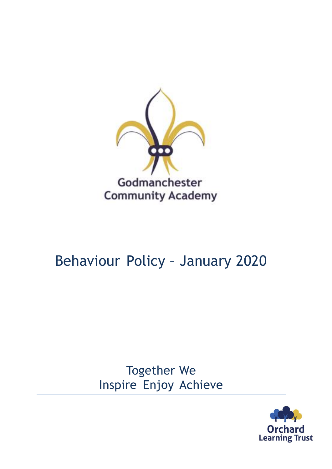

# Behaviour Policy – January 2020

Together We Inspire Enjoy Achieve

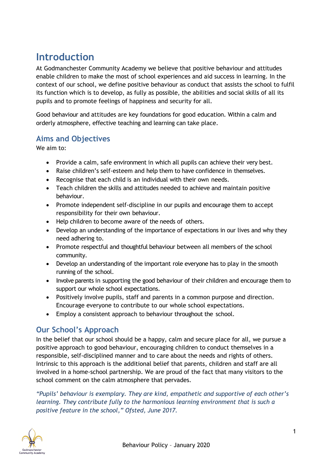# **Introduction**

At Godmanchester Community Academy we believe that positive behaviour and attitudes enable children to make the most of school experiences and aid success in learning. In the context of our school, we define positive behaviour as conduct that assists the school to fulfil its function which is to develop, as fully as possible, the abilities and social skills of all its pupils and to promote feelings of happiness and security for all.

Good behaviour and attitudes are key foundations for good education. Within a calm and orderly atmosphere, effective teaching and learning can take place.

#### **Aims and Objectives**

We aim to:

- Provide a calm, safe environment in which all pupils can achieve their very best.
- Raise children's self-esteem and help them to have confidence in themselves.
- Recognise that each child is an individual with their own needs.
- Teach children the skills and attitudes needed to achieve and maintain positive behaviour.
- Promote independent self-discipline in our pupils and encourage them to accept responsibility for their own behaviour.
- Help children to become aware of the needs of others.
- Develop an understanding of the importance of expectations in our lives and why they need adhering to.
- Promote respectful and thoughtful behaviour between all members of the school community.
- Develop an understanding of the important role everyone has to play in the smooth running of the school.
- Involve parents in supporting the good behaviour of their children and encourage them to support our whole school expectations.
- Positively involve pupils, staff and parents in a common purpose and direction. Encourage everyone to contribute to our whole school expectations.
- Employ a consistent approach to behaviour throughout the school.

# **Our School's Approach**

In the belief that our school should be a happy, calm and secure place for all, we pursue a positive approach to good behaviour, encouraging children to conduct themselves in a responsible, self-disciplined manner and to care about the needs and rights of others. Intrinsic to this approach is the additional belief that parents, children and staff are all involved in a home-school partnership. We are proud of the fact that many visitors to the school comment on the calm atmosphere that pervades.

*"Pupils' behaviour is exemplary. They are kind, empathetic and supportive of each other's learning. They contribute fully to the harmonious learning environment that is such a positive feature in the school," Ofsted, June 2017.*

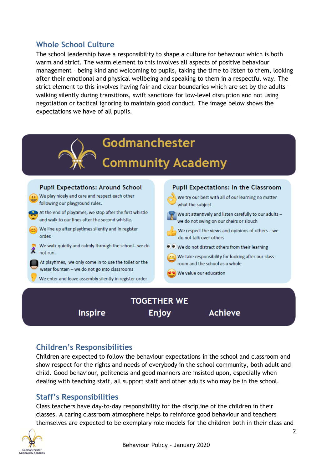## **Whole School Culture**

The school leadership have a responsibility to shape a culture for behaviour which is both warm and strict. The warm element to this involves all aspects of positive behaviour management – being kind and welcoming to pupils, taking the time to listen to them, looking after their emotional and physical wellbeing and speaking to them in a respectful way. The strict element to this involves having fair and clear boundaries which are set by the adults – walking silently during transitions, swift sanctions for low-level disruption and not using negotiation or tactical ignoring to maintain good conduct. The image below shows the expectations we have of all pupils.



**Inspire** 

**Enjoy** 

# **Achieve**

# **Children's Responsibilities**

Children are expected to follow the behaviour expectations in the school and classroom and show respect for the rights and needs of everybody in the school community, both adult and child. Good behaviour, politeness and good manners are insisted upon, especially when dealing with teaching staff, all support staff and other adults who may be in the school.

#### **Staff's Responsibilities**

Class teachers have day-to-day responsibility for the discipline of the children in their classes. A caring classroom atmosphere helps to reinforce good behaviour and teachers themselves are expected to be exemplary role models for the children both in their class and

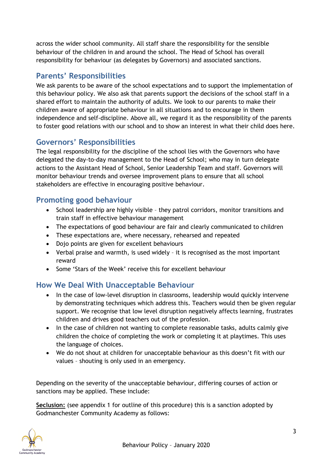across the wider school community. All staff share the responsibility for the sensible behaviour of the children in and around the school. The Head of School has overall responsibility for behaviour (as delegates by Governors) and associated sanctions.

## **Parents' Responsibilities**

We ask parents to be aware of the school expectations and to support the implementation of this behaviour policy. We also ask that parents support the decisions of the school staff in a shared effort to maintain the authority of adults. We look to our parents to make their children aware of appropriate behaviour in all situations and to encourage in them independence and self-discipline. Above all, we regard it as the responsibility of the parents to foster good relations with our school and to show an interest in what their child does here.

### **Governors' Responsibilities**

The legal responsibility for the discipline of the school lies with the Governors who have delegated the day-to-day management to the Head of School; who may in turn delegate actions to the Assistant Head of School, Senior Leadership Team and staff. Governors will monitor behaviour trends and oversee improvement plans to ensure that all school stakeholders are effective in encouraging positive behaviour.

#### **Promoting good behaviour**

- School leadership are highly visible they patrol corridors, monitor transitions and train staff in effective behaviour management
- The expectations of good behaviour are fair and clearly communicated to children
- These expectations are, where necessary, rehearsed and repeated
- Dojo points are given for excellent behaviours
- Verbal praise and warmth, is used widely it is recognised as the most important reward
- Some 'Stars of the Week' receive this for excellent behaviour

#### **How We Deal With Unacceptable Behaviour**

- In the case of low-level disruption in classrooms, leadership would quickly intervene by demonstrating techniques which address this. Teachers would then be given regular support. We recognise that low level disruption negatively affects learning, frustrates children and drives good teachers out of the profession.
- In the case of children not wanting to complete reasonable tasks, adults calmly give children the choice of completing the work or completing it at playtimes. This uses the language of choices.
- We do not shout at children for unacceptable behaviour as this doesn't fit with our values – shouting is only used in an emergency.

Depending on the severity of the unacceptable behaviour, differing courses of action or sanctions may be applied. These include:

**Seclusion:** (see appendix 1 for outline of this procedure) this is a sanction adopted by Godmanchester Community Academy as follows:

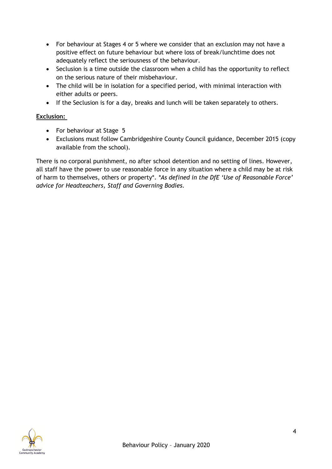- For behaviour at Stages 4 or 5 where we consider that an exclusion may not have a positive effect on future behaviour but where loss of break/lunchtime does not adequately reflect the seriousness of the behaviour.
- Seclusion is a time outside the classroom when a child has the opportunity to reflect on the serious nature of their misbehaviour.
- The child will be in isolation for a specified period, with minimal interaction with either adults or peers.
- If the Seclusion is for a day, breaks and lunch will be taken separately to others.

#### **Exclusion:**

- For behaviour at Stage 5
- Exclusions must follow Cambridgeshire County Council guidance, December 2015 (copy available from the school).

There is no corporal punishment, no after school detention and no setting of lines. However, all staff have the power to use reasonable force in any situation where a child may be at risk of harm to themselves, others or property\*. *\*As defined in the DfE 'Use of Reasonable Force' advice for Headteachers, Staff and Governing Bodies.*

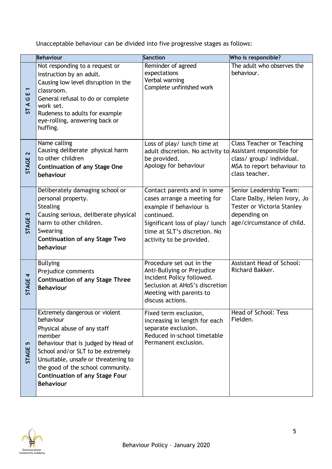Unacceptable behaviour can be divided into five progressive stages as follows:

|                                      | <b>Behaviour</b>                                                                                                                                                                                                                                                                                           | <b>Sanction</b>                                                                                                                                                                                    | Who is responsible?                                                                                                                        |
|--------------------------------------|------------------------------------------------------------------------------------------------------------------------------------------------------------------------------------------------------------------------------------------------------------------------------------------------------------|----------------------------------------------------------------------------------------------------------------------------------------------------------------------------------------------------|--------------------------------------------------------------------------------------------------------------------------------------------|
| ш<br>ပ<br>$\blacktriangleleft$<br>57 | Not responding to a request or<br>instruction by an adult.<br>Causing low level disruption in the<br>classroom.<br>General refusal to do or complete<br>work set.<br>Rudeness to adults for example<br>eye-rolling, answering back or<br>huffing.                                                          | Reminder of agreed<br>expectations<br>Verbal warning<br>Complete unfinished work                                                                                                                   | The adult who observes the<br>behaviour.                                                                                                   |
| $\mathbf{\Omega}$<br><b>STAGE</b>    | Name calling<br>Causing deliberate physical harm<br>to other children<br><b>Continuation of any Stage One</b><br>behaviour                                                                                                                                                                                 | Loss of play/ lunch time at<br>adult discretion. No activity to Assistant responsible for<br>be provided.<br>Apology for behaviour                                                                 | <b>Class Teacher or Teaching</b><br>class/ group/ individual.<br>MSA to report behaviour to<br>class teacher.                              |
| $\mathbf{\tilde{z}}$<br>STAGE        | Deliberately damaging school or<br>personal property.<br><b>Stealing</b><br>Causing serious, deliberate physical<br>harm to other children.<br>Swearing<br><b>Continuation of any Stage Two</b><br>behaviour                                                                                               | Contact parents and in some<br>cases arrange a meeting for<br>example if behaviour is<br>continued.<br>Significant loss of play/ lunch<br>time at SLT's discretion. No<br>activity to be provided. | Senior Leadership Team:<br>Clare Dalby, Helen Ivory, Jo<br><b>Tester or Victoria Stanley</b><br>depending on<br>age/circumstance of child. |
| STAGE 4                              | <b>Bullying</b><br>Prejudice comments<br><b>Continuation of any Stage Three</b><br><b>Behaviour</b>                                                                                                                                                                                                        | Procedure set out in the<br>Anti-Bullying or Prejudice<br>Incident Policy followed.<br>Seclusion at AHoS's discretion<br>Meeting with parents to<br>discuss actions.                               | <b>Assistant Head of School:</b><br>Richard Bakker.                                                                                        |
| S<br><b>STAGE</b>                    | Extremely dangerous or violent<br>behaviour<br>Physical abuse of any staff<br>member<br>Behaviour that is judged by Head of<br>School and/or SLT to be extremely<br>Unsuitable, unsafe or threatening to<br>the good of the school community.<br><b>Continuation of any Stage Four</b><br><b>Behaviour</b> | Fixed term exclusion,<br>increasing in length for each<br>separate exclusion.<br>Reduced in-school timetable<br>Permanent exclusion.                                                               | Head of School: Tess<br>Fielden.                                                                                                           |

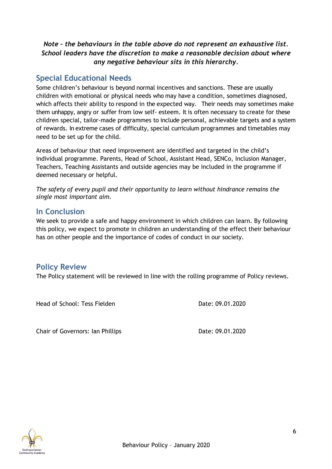#### *Note – the behaviours in the table above do not represent an exhaustive list. School leaders have the discretion to make a reasonable decision about where any negative behaviour sits in this hierarchy.*

#### **Special Educational Needs**

Some children's behaviour is beyond normal incentives and sanctions. These are usually children with emotional or physical needs who may have a condition, sometimes diagnosed, which affects their ability to respond in the expected way. Their needs may sometimes make them unhappy, angry or suffer from low self- esteem. It is often necessary to create for these children special, tailor-made programmes to include personal, achievable targets and a system of rewards. In extreme cases of difficulty, special curriculum programmes and timetables may need to be set up for the child.

Areas of behaviour that need improvement are identified and targeted in the child's individual programme. Parents, Head of School, Assistant Head, SENCo, Inclusion Manager, Teachers, Teaching Assistants and outside agencies may be included in the programme if deemed necessary or helpful.

*The safety of every pupil and their opportunity to learn without hindrance remains the single most important aim.*

#### **In Conclusion**

We seek to provide a safe and happy environment in which children can learn. By following this policy, we expect to promote in children an understanding of the effect their behaviour has on other people and the importance of codes of conduct in our society.

#### **Policy Review**

The Policy statement will be reviewed in line with the rolling programme of Policy reviews.

Head of School: Tess Fielden **Date: 09.01.2020** 

Chair of Governors: Ian Phillips Chair of Governors: Ian Phillips Date: 09.01.2020